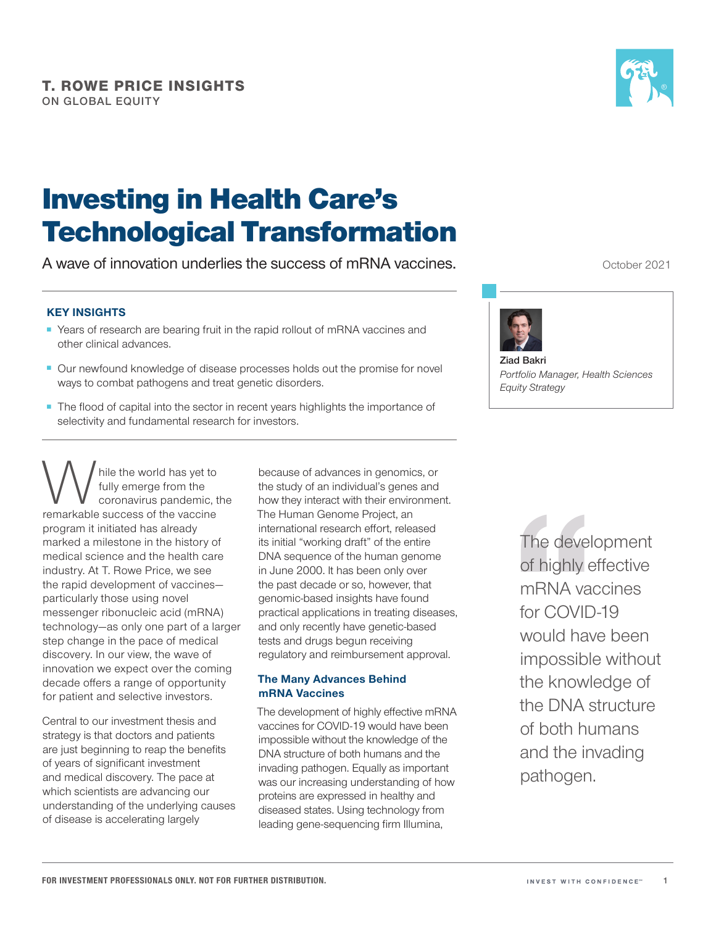

# Investing in Health Care's Technological Transformation

A wave of innovation underlies the success of mRNA vaccines.

### KEY INSIGHTS

- Years of research are bearing fruit in the rapid rollout of mRNA vaccines and other clinical advances.
- Our newfound knowledge of disease processes holds out the promise for novel ways to combat pathogens and treat genetic disorders.
- The flood of capital into the sector in recent years highlights the importance of selectivity and fundamental research for investors.

While the world has yet to<br>fully emerge from the<br>remarkable success of the vaccine fully emerge from the coronavirus pandemic, the program it initiated has already marked a milestone in the history of medical science and the health care industry. At T. Rowe Price, we see the rapid development of vaccines particularly those using novel messenger ribonucleic acid (mRNA) technology—as only one part of a larger step change in the pace of medical discovery. In our view, the wave of innovation we expect over the coming decade offers a range of opportunity for patient and selective investors.

Central to our investment thesis and strategy is that doctors and patients are just beginning to reap the benefits of years of significant investment and medical discovery. The pace at which scientists are advancing our understanding of the underlying causes of disease is accelerating largely

because of advances in genomics, or the study of an individual's genes and how they interact with their environment. The Human Genome Project, an international research effort, released its initial "working draft" of the entire DNA sequence of the human genome in June 2000. It has been only over the past decade or so, however, that genomic-based insights have found practical applications in treating diseases, and only recently have genetic-based tests and drugs begun receiving regulatory and reimbursement approval.

#### The Many Advances Behind mRNA Vaccines

The development of highly effective mRNA vaccines for COVID-19 would have been impossible without the knowledge of the DNA structure of both humans and the invading pathogen. Equally as important was our increasing understanding of how proteins are expressed in healthy and diseased states. Using technology from leading gene-sequencing firm Illumina,

October 2021



**Ziad Bakri** *Portfolio Manager, Health Sciences Equity Strategy*

> The development of highly effective mRNA vaccines for COVID-19 would have been impossible without the knowledge of the DNA structure of both humans and the invading pathogen.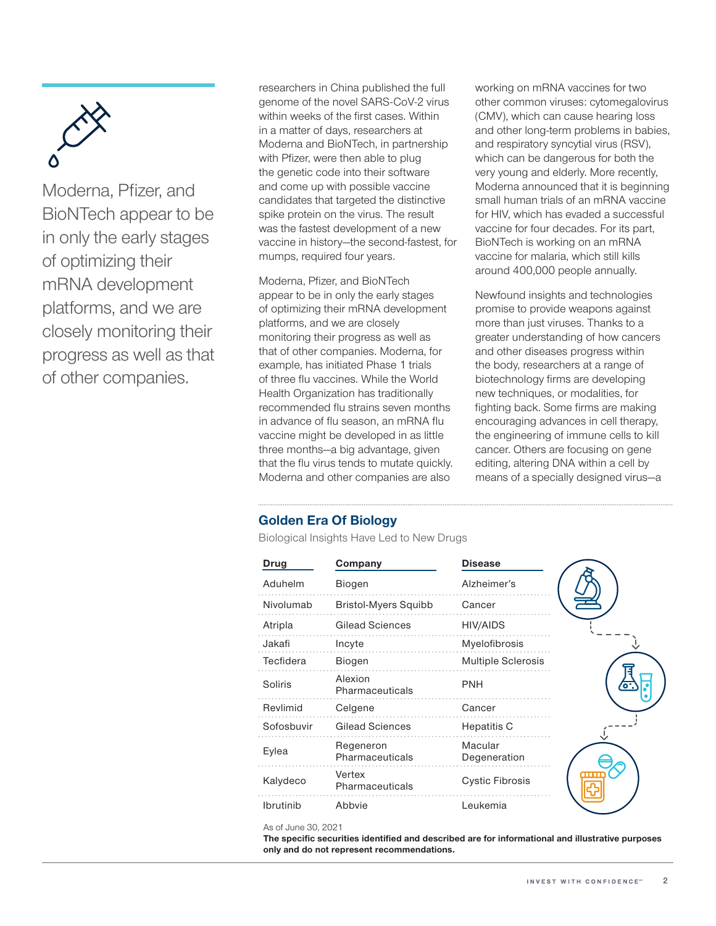

Moderna, Pfizer, and BioNTech appear to be in only the early stages of optimizing their mRNA development platforms, and we are closely monitoring their progress as well as that of other companies.

researchers in China published the full genome of the novel SARS-CoV-2 virus within weeks of the first cases. Within in a matter of days, researchers at Moderna and BioNTech, in partnership with Pfizer, were then able to plug the genetic code into their software and come up with possible vaccine candidates that targeted the distinctive spike protein on the virus. The result was the fastest development of a new vaccine in history—the second-fastest, for mumps, required four years.

Moderna, Pfizer, and BioNTech appear to be in only the early stages of optimizing their mRNA development platforms, and we are closely monitoring their progress as well as that of other companies. Moderna, for example, has initiated Phase 1 trials of three flu vaccines. While the World Health Organization has traditionally recommended flu strains seven months in advance of flu season, an mRNA flu vaccine might be developed in as little three months—a big advantage, given that the flu virus tends to mutate quickly. Moderna and other companies are also

working on mRNA vaccines for two other common viruses: cytomegalovirus (CMV), which can cause hearing loss and other long-term problems in babies, and respiratory syncytial virus (RSV), which can be dangerous for both the very young and elderly. More recently, Moderna announced that it is beginning small human trials of an mRNA vaccine for HIV, which has evaded a successful vaccine for four decades. For its part, BioNTech is working on an mRNA vaccine for malaria, which still kills around 400,000 people annually.

Newfound insights and technologies promise to provide weapons against more than just viruses. Thanks to a greater understanding of how cancers and other diseases progress within the body, researchers at a range of biotechnology firms are developing new techniques, or modalities, for fighting back. Some firms are making encouraging advances in cell therapy, the engineering of immune cells to kill cancer. Others are focusing on gene editing, altering DNA within a cell by means of a specially designed virus—a

## Golden Era Of Biology

Biological Insights Have Led to New Drugs

| <b>Drug</b> | Company                      | <b>Disease</b>            |
|-------------|------------------------------|---------------------------|
| Aduhelm     | Biogen                       | Alzheimer's               |
| Nivolumab   | <b>Bristol-Myers Squibb</b>  | Cancer                    |
| Atripla     | Gilead Sciences              | <b>HIV/AIDS</b>           |
| Jakafi      | Incyte                       | Myelofibrosis             |
| Tecfidera   | <b>Biogen</b>                | <b>Multiple Sclerosis</b> |
| Soliris     | Alexion<br>Pharmaceuticals   | <b>PNH</b>                |
| Revlimid    | Celgene                      | Cancer                    |
| Sofosbuvir  | Gilead Sciences              | Hepatitis C               |
| Eylea       | Regeneron<br>Pharmaceuticals | Macular<br>Degeneration   |
| Kalydeco    | Vertex<br>Pharmaceuticals    | <b>Cystic Fibrosis</b>    |
| Ibrutinib   | Abbyie                       | Leukemia                  |

#### As of June 30, 2021

The specific securities identified and described are for informational and illustrative purposes only and do not represent recommendations.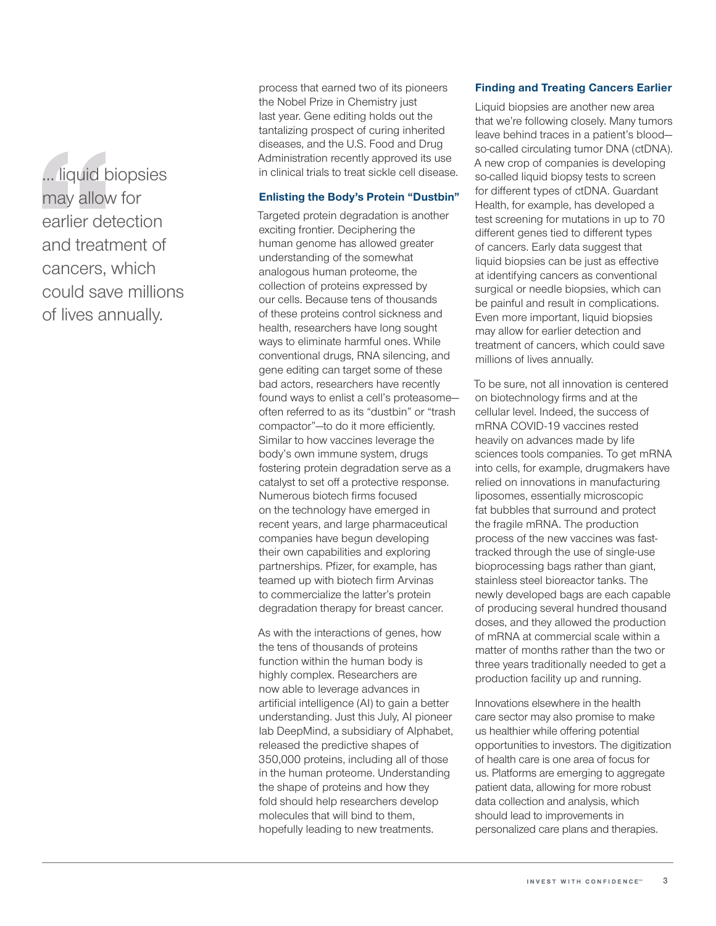… liquid biopsies may allow for earlier detection and treatment of cancers, which could save millions of lives annually.

process that earned two of its pioneers the Nobel Prize in Chemistry just last year. Gene editing holds out the tantalizing prospect of curing inherited diseases, and the U.S. Food and Drug Administration recently approved its use in clinical trials to treat sickle cell disease.

#### Enlisting the Body's Protein "Dustbin"

Targeted protein degradation is another exciting frontier. Deciphering the human genome has allowed greater understanding of the somewhat analogous human proteome, the collection of proteins expressed by our cells. Because tens of thousands of these proteins control sickness and health, researchers have long sought ways to eliminate harmful ones. While conventional drugs, RNA silencing, and gene editing can target some of these bad actors, researchers have recently found ways to enlist a cell's proteasome often referred to as its "dustbin" or "trash compactor"—to do it more efficiently. Similar to how vaccines leverage the body's own immune system, drugs fostering protein degradation serve as a catalyst to set off a protective response. Numerous biotech firms focused on the technology have emerged in recent years, and large pharmaceutical companies have begun developing their own capabilities and exploring partnerships. Pfizer, for example, has teamed up with biotech firm Arvinas to commercialize the latter's protein degradation therapy for breast cancer.

As with the interactions of genes, how the tens of thousands of proteins function within the human body is highly complex. Researchers are now able to leverage advances in artificial intelligence (AI) to gain a better understanding. Just this July, AI pioneer lab DeepMind, a subsidiary of Alphabet, released the predictive shapes of 350,000 proteins, including all of those in the human proteome. Understanding the shape of proteins and how they fold should help researchers develop molecules that will bind to them, hopefully leading to new treatments.

#### Finding and Treating Cancers Earlier

Liquid biopsies are another new area that we're following closely. Many tumors leave behind traces in a patient's blood so-called circulating tumor DNA (ctDNA). A new crop of companies is developing so-called liquid biopsy tests to screen for different types of ctDNA. Guardant Health, for example, has developed a test screening for mutations in up to 70 different genes tied to different types of cancers. Early data suggest that liquid biopsies can be just as effective at identifying cancers as conventional surgical or needle biopsies, which can be painful and result in complications. Even more important, liquid biopsies may allow for earlier detection and treatment of cancers, which could save millions of lives annually.

To be sure, not all innovation is centered on biotechnology firms and at the cellular level. Indeed, the success of mRNA COVID-19 vaccines rested heavily on advances made by life sciences tools companies. To get mRNA into cells, for example, drugmakers have relied on innovations in manufacturing liposomes, essentially microscopic fat bubbles that surround and protect the fragile mRNA. The production process of the new vaccines was fasttracked through the use of single-use bioprocessing bags rather than giant, stainless steel bioreactor tanks. The newly developed bags are each capable of producing several hundred thousand doses, and they allowed the production of mRNA at commercial scale within a matter of months rather than the two or three years traditionally needed to get a production facility up and running.

Innovations elsewhere in the health care sector may also promise to make us healthier while offering potential opportunities to investors. The digitization of health care is one area of focus for us. Platforms are emerging to aggregate patient data, allowing for more robust data collection and analysis, which should lead to improvements in personalized care plans and therapies.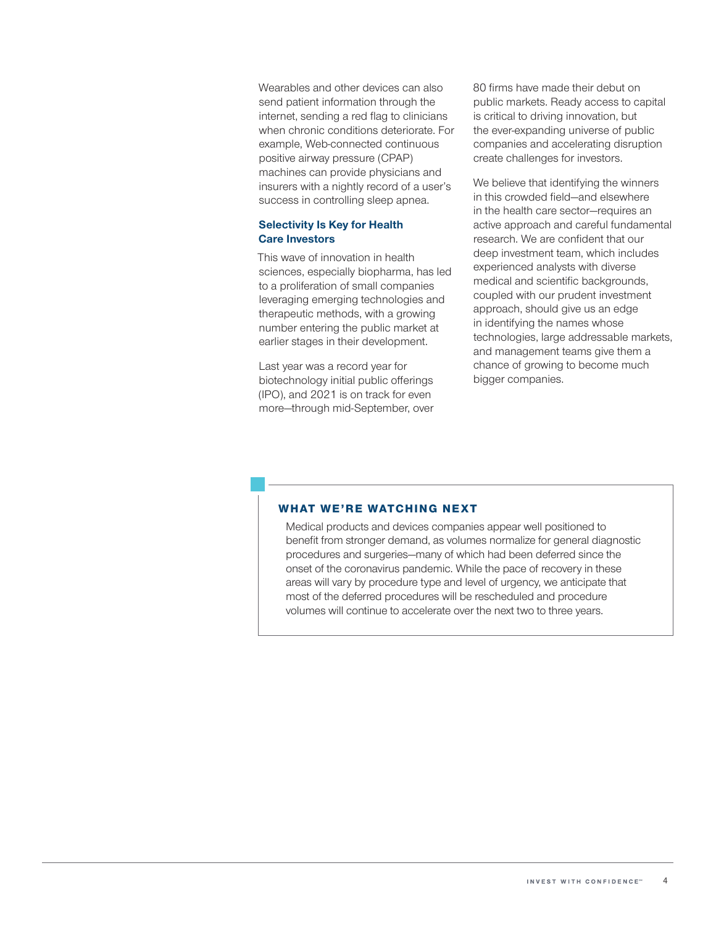Wearables and other devices can also send patient information through the internet, sending a red flag to clinicians when chronic conditions deteriorate. For example, Web-connected continuous positive airway pressure (CPAP) machines can provide physicians and insurers with a nightly record of a user's success in controlling sleep apnea.

#### Selectivity Is Key for Health Care Investors

This wave of innovation in health sciences, especially biopharma, has led to a proliferation of small companies leveraging emerging technologies and therapeutic methods, with a growing number entering the public market at earlier stages in their development.

Last year was a record year for biotechnology initial public offerings (IPO), and 2021 is on track for even more—through mid-September, over 80 firms have made their debut on public markets. Ready access to capital is critical to driving innovation, but the ever-expanding universe of public companies and accelerating disruption create challenges for investors.

We believe that identifying the winners in this crowded field—and elsewhere in the health care sector—requires an active approach and careful fundamental research. We are confident that our deep investment team, which includes experienced analysts with diverse medical and scientific backgrounds, coupled with our prudent investment approach, should give us an edge in identifying the names whose technologies, large addressable markets, and management teams give them a chance of growing to become much bigger companies.

#### **WHAT WE'RE WATCHING NEXT**

Medical products and devices companies appear well positioned to benefit from stronger demand, as volumes normalize for general diagnostic procedures and surgeries—many of which had been deferred since the onset of the coronavirus pandemic. While the pace of recovery in these areas will vary by procedure type and level of urgency, we anticipate that most of the deferred procedures will be rescheduled and procedure volumes will continue to accelerate over the next two to three years.